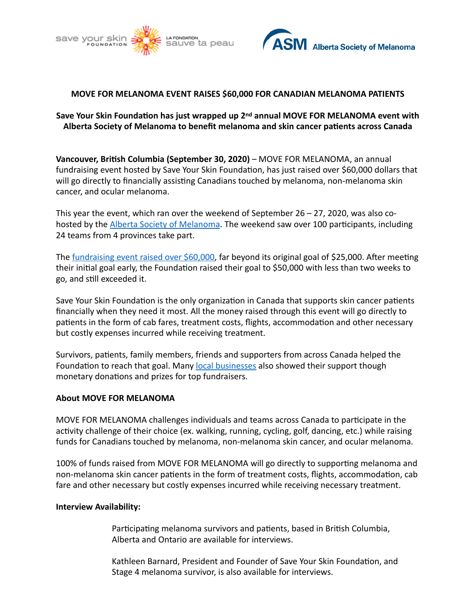



## **MOVE FOR MELANOMA EVENT RAISES \$60,000 FOR CANADIAN MELANOMA PATIENTS**

## Save Your Skin Foundation has just wrapped up 2<sup>nd</sup> annual MOVE FOR MELANOMA event with Alberta Society of Melanoma to benefit melanoma and skin cancer patients across Canada

**Vancouver, British Columbia (September 30, 2020)** – MOVE FOR MELANOMA, an annual fundraising event hosted by Save Your Skin Foundation, has just raised over \$60,000 dollars that will go directly to financially assisting Canadians touched by melanoma, non-melanoma skin cancer, and ocular melanoma.

This year the event, which ran over the weekend of September  $26 - 27$ , 2020, was also cohosted by the Alberta Society of Melanoma. The weekend saw over 100 participants, including 24 teams from 4 provinces take part.

The fundraising event raised over \$60,000, far beyond its original goal of \$25,000. After meeting their initial goal early, the Foundation raised their goal to \$50,000 with less than two weeks to go, and still exceeded it.

Save Your Skin Foundation is the only organization in Canada that supports skin cancer patients financially when they need it most. All the money raised through this event will go directly to patients in the form of cab fares, treatment costs, flights, accommodation and other necessary but costly expenses incurred while receiving treatment.

Survivors, patients, family members, friends and supporters from across Canada helped the Foundation to reach that goal. Many local businesses also showed their support though monetary donations and prizes for top fundraisers.

### **About MOVE FOR MELANOMA**

MOVE FOR MELANOMA challenges individuals and teams across Canada to participate in the activity challenge of their choice (ex. walking, running, cycling, golf, dancing, etc.) while raising funds for Canadians touched by melanoma, non-melanoma skin cancer, and ocular melanoma.

100% of funds raised from MOVE FOR MELANOMA will go directly to supporting melanoma and non-melanoma skin cancer patients in the form of treatment costs, flights, accommodation, cab fare and other necessary but costly expenses incurred while receiving necessary treatment.

#### **Interview Availability:**

Participating melanoma survivors and patients, based in British Columbia, Alberta and Ontario are available for interviews.

Kathleen Barnard, President and Founder of Save Your Skin Foundation, and Stage 4 melanoma survivor, is also available for interviews.